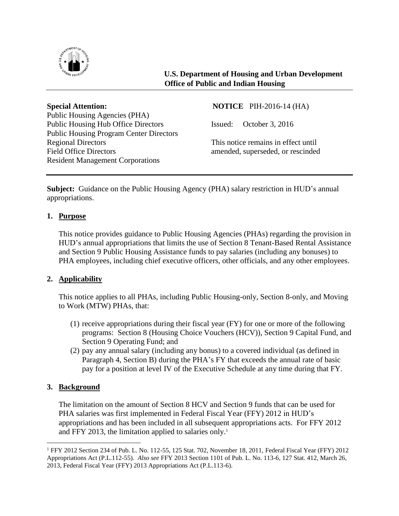

**U.S. Department of Housing and Urban Development Office of Public and Indian Housing**

**Special Attention:** NOTICE PIH-2016-14 (HA) Public Housing Agencies (PHA) Public Housing Hub Office Directors Issued: October 3, 2016 Public Housing Program Center Directors Regional Directors This notice remains in effect until Field Office Directors amended, superseded, or rescinded Resident Management Corporations

**Subject:** Guidance on the Public Housing Agency (PHA) salary restriction in HUD's annual appropriations.

# **1. Purpose**

This notice provides guidance to Public Housing Agencies (PHAs) regarding the provision in HUD's annual appropriations that limits the use of Section 8 Tenant-Based Rental Assistance and Section 9 Public Housing Assistance funds to pay salaries (including any bonuses) to PHA employees, including chief executive officers, other officials, and any other employees.

# **2. Applicability**

This notice applies to all PHAs, including Public Housing-only, Section 8-only, and Moving to Work (MTW) PHAs, that:

- (1) receive appropriations during their fiscal year (FY) for one or more of the following programs: Section 8 (Housing Choice Vouchers (HCV)), Section 9 Capital Fund, and Section 9 Operating Fund; and
- (2) pay any annual salary (including any bonus) to a covered individual (as defined in Paragraph 4, Section B) during the PHA's FY that exceeds the annual rate of basic pay for a position at level IV of the Executive Schedule at any time during that FY.

# **3. Background**

 $\overline{a}$ 

The limitation on the amount of Section 8 HCV and Section 9 funds that can be used for PHA salaries was first implemented in Federal Fiscal Year (FFY) 2012 in HUD's appropriations and has been included in all subsequent appropriations acts. For FFY 2012 and FFY 2013, the limitation applied to salaries only.<sup>1</sup>

<sup>1</sup> FFY 2012 Section 234 of Pub. L. No. 112-55, 125 Stat. 702, November 18, 2011, Federal Fiscal Year (FFY) 2012 Appropriations Act (P.L.112-55). *Also see* FFY 2013 Section 1101 of Pub. L. No. 113-6, 127 Stat. 412, March 26, 2013, Federal Fiscal Year (FFY) 2013 Appropriations Act (P.L.113-6).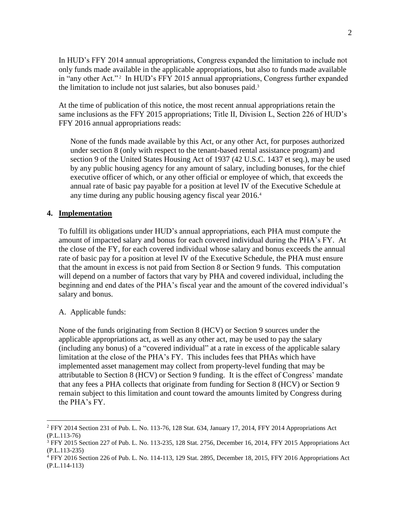In HUD's FFY 2014 annual appropriations, Congress expanded the limitation to include not only funds made available in the applicable appropriations, but also to funds made available in "any other Act." 2 In HUD's FFY 2015 annual appropriations, Congress further expanded the limitation to include not just salaries, but also bonuses paid.<sup>3</sup>

At the time of publication of this notice, the most recent annual appropriations retain the same inclusions as the FFY 2015 appropriations; Title II, Division L, Section 226 of HUD's FFY 2016 annual appropriations reads:

None of the funds made available by this Act, or any other Act, for purposes authorized under section 8 (only with respect to the tenant-based rental assistance program) and section 9 of the United States Housing Act of 1937 (42 U.S.C. 1437 et seq.), may be used by any public housing agency for any amount of salary, including bonuses, for the chief executive officer of which, or any other official or employee of which, that exceeds the annual rate of basic pay payable for a position at level IV of the Executive Schedule at any time during any public housing agency fiscal year 2016.<sup>4</sup>

### **4. Implementation**

To fulfill its obligations under HUD's annual appropriations, each PHA must compute the amount of impacted salary and bonus for each covered individual during the PHA's FY. At the close of the FY, for each covered individual whose salary and bonus exceeds the annual rate of basic pay for a position at level IV of the Executive Schedule, the PHA must ensure that the amount in excess is not paid from Section 8 or Section 9 funds. This computation will depend on a number of factors that vary by PHA and covered individual, including the beginning and end dates of the PHA's fiscal year and the amount of the covered individual's salary and bonus.

### A. Applicable funds:

 $\overline{a}$ 

None of the funds originating from Section 8 (HCV) or Section 9 sources under the applicable appropriations act, as well as any other act, may be used to pay the salary (including any bonus) of a "covered individual" at a rate in excess of the applicable salary limitation at the close of the PHA's FY. This includes fees that PHAs which have implemented asset management may collect from property-level funding that may be attributable to Section 8 (HCV) or Section 9 funding. It is the effect of Congress' mandate that any fees a PHA collects that originate from funding for Section 8 (HCV) or Section 9 remain subject to this limitation and count toward the amounts limited by Congress during the PHA's FY.

<sup>2</sup> FFY 2014 Section 231 of Pub. L. No. 113-76, 128 Stat. 634, January 17, 2014, FFY 2014 Appropriations Act (P.L.113-76)

<sup>&</sup>lt;sup>3</sup> FFY 2015 Section 227 of Pub. L. No. 113-235, 128 Stat. 2756, December 16, 2014, FFY 2015 Appropriations Act (P.L.113-235)

<sup>4</sup> FFY 2016 Section 226 of Pub. L. No. 114-113, 129 Stat. 2895, December 18, 2015, FFY 2016 Appropriations Act (P.L.114-113)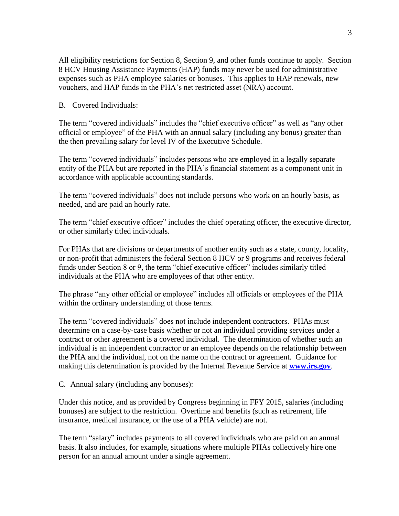All eligibility restrictions for Section 8, Section 9, and other funds continue to apply. Section 8 HCV Housing Assistance Payments (HAP) funds may never be used for administrative expenses such as PHA employee salaries or bonuses. This applies to HAP renewals, new vouchers, and HAP funds in the PHA's net restricted asset (NRA) account.

B. Covered Individuals:

The term "covered individuals" includes the "chief executive officer" as well as "any other official or employee" of the PHA with an annual salary (including any bonus) greater than the then prevailing salary for level IV of the Executive Schedule.

The term "covered individuals" includes persons who are employed in a legally separate entity of the PHA but are reported in the PHA's financial statement as a component unit in accordance with applicable accounting standards.

The term "covered individuals" does not include persons who work on an hourly basis, as needed, and are paid an hourly rate.

The term "chief executive officer" includes the chief operating officer, the executive director, or other similarly titled individuals.

For PHAs that are divisions or departments of another entity such as a state, county, locality, or non-profit that administers the federal Section 8 HCV or 9 programs and receives federal funds under Section 8 or 9, the term "chief executive officer" includes similarly titled individuals at the PHA who are employees of that other entity.

The phrase "any other official or employee" includes all officials or employees of the PHA within the ordinary understanding of those terms.

The term "covered individuals" does not include independent contractors. PHAs must determine on a case-by-case basis whether or not an individual providing services under a contract or other agreement is a covered individual. The determination of whether such an individual is an independent contractor or an employee depends on the relationship between the PHA and the individual, not on the name on the contract or agreement. Guidance for making this determination is provided by the Internal Revenue Service at **[www.irs.gov](http://www.irs.gov/)**.

C. Annual salary (including any bonuses):

Under this notice, and as provided by Congress beginning in FFY 2015, salaries (including bonuses) are subject to the restriction. Overtime and benefits (such as retirement, life insurance, medical insurance, or the use of a PHA vehicle) are not.

The term "salary" includes payments to all covered individuals who are paid on an annual basis. It also includes, for example, situations where multiple PHAs collectively hire one person for an annual amount under a single agreement.